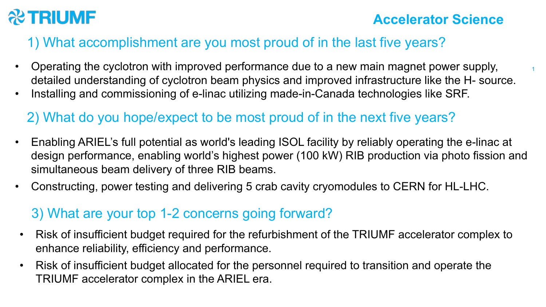

1

## 1) What accomplishment are you most proud of in the last five years?

- Operating the cyclotron with improved performance due to a new main magnet power supply, detailed understanding of cyclotron beam physics and improved infrastructure like the H- source.
- Installing and commissioning of e-linac utilizing made-in-Canada technologies like SRF.

## 2) What do you hope/expect to be most proud of in the next five years?

- Enabling ARIEL's full potential as world's leading ISOL facility by reliably operating the e-linac at design performance, enabling world's highest power (100 kW) RIB production via photo fission and simultaneous beam delivery of three RIB beams.
- Constructing, power testing and delivering 5 crab cavity cryomodules to CERN for HL-LHC.

## 3) What are your top 1-2 concerns going forward?

- Risk of insufficient budget required for the refurbishment of the TRIUMF accelerator complex to enhance reliability, efficiency and performance.
- Risk of insufficient budget allocated for the personnel required to transition and operate the TRIUMF accelerator complex in the ARIEL era.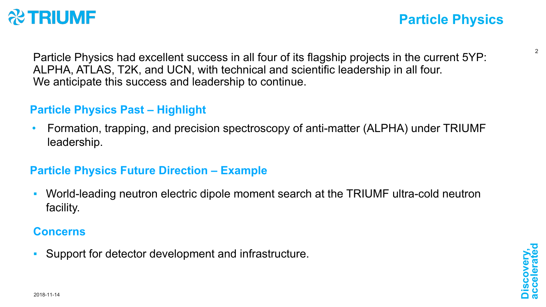

Particle Physics had excellent success in all four of its flagship projects in the current 5YP: ALPHA, ATLAS, T2K, and UCN, with technical and scientific leadership in all four. We anticipate this success and leadership to continue.

## **Particle Physics Past – Highlight**

• Formation, trapping, and precision spectroscopy of anti-matter (ALPHA) under TRIUMF leadership.

## **Particle Physics Future Direction – Example**

■ World-leading neutron electric dipole moment search at the TRIUMF ultra-cold neutron facility.

#### **Concerns**

**• Support for detector development and infrastructure.**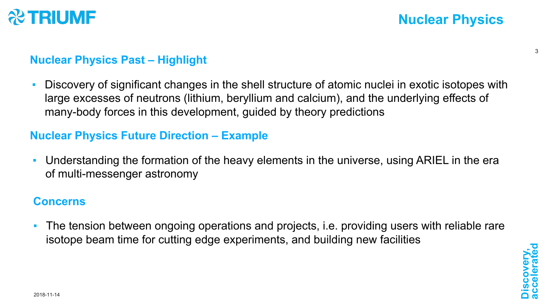

#### **Nuclear Physics Past – Highlight**

**• Discovery of significant changes in the shell structure of atomic nuclei in exotic isotopes with** large excesses of neutrons (lithium, beryllium and calcium), and the underlying effects of many-body forces in this development, guided by theory predictions

#### **Nuclear Physics Future Direction – Example**

▪ Understanding the formation of the heavy elements in the universe, using ARIEL in the era of multi-messenger astronomy

#### **Concerns**

**•** The tension between ongoing operations and projects, i.e. providing users with reliable rare isotope beam time for cutting edge experiments, and building new facilities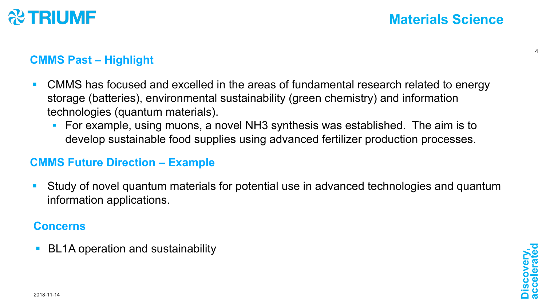

## **CMMS Past – Highlight**

- CMMS has focused and excelled in the areas of fundamental research related to energy storage (batteries), environmental sustainability (green chemistry) and information technologies (quantum materials).
	- For example, using muons, a novel NH3 synthesis was established. The aim is to develop sustainable food supplies using advanced fertilizer production processes.

### **CMMS Future Direction – Example**

■ Study of novel quantum materials for potential use in advanced technologies and quantum information applications.

### **Concerns**

§ BL1A operation and sustainability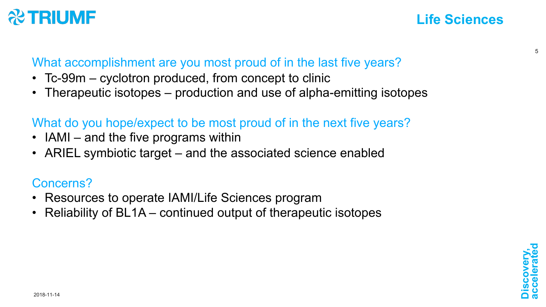# **& TRIUMF**

# **Life Sciences**

What accomplishment are you most proud of in the last five years?

- Tc-99m cyclotron produced, from concept to clinic
- Therapeutic isotopes production and use of alpha-emitting isotopes

# What do you hope/expect to be most proud of in the next five years?

- IAMI and the five programs within
- ARIEL symbiotic target and the associated science enabled

# Concerns?

- Resources to operate IAMI/Life Sciences program
- Reliability of BL1A continued output of therapeutic isotopes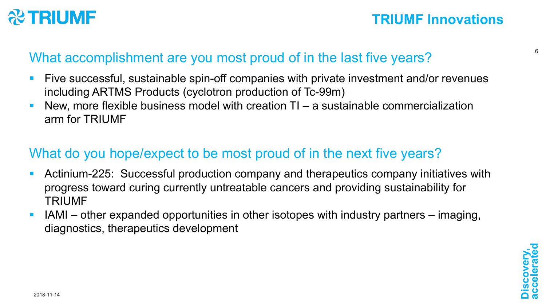

## What accomplishment are you most proud of in the last five years?

- § Five successful, sustainable spin-off companies with private investment and/or revenues including ARTMS Products (cyclotron production of Tc-99m)
- New, more flexible business model with creation  $TI a$  sustainable commercialization arm for TRIUMF

# What do you hope/expect to be most proud of in the next five years?

- § Actinium-225: Successful production company and therapeutics company initiatives with progress toward curing currently untreatable cancers and providing sustainability for TRIUMF
- § IAMI other expanded opportunities in other isotopes with industry partners imaging, diagnostics, therapeutics development